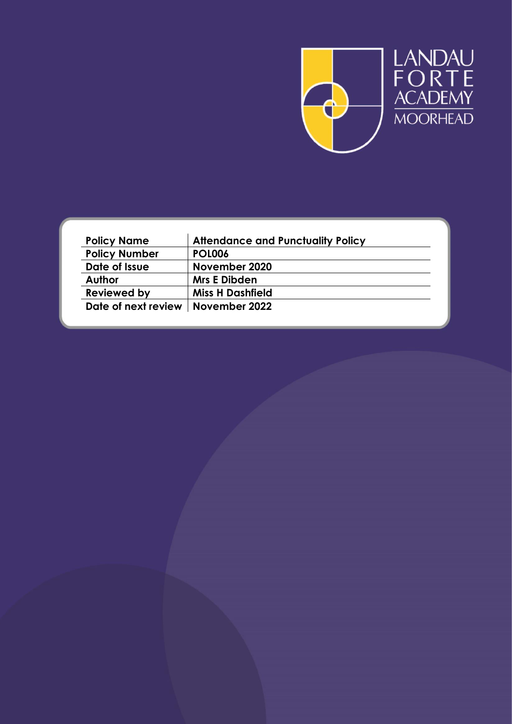

| <b>Policy Name</b>                  | <b>Attendance and Punctuality Policy</b> |
|-------------------------------------|------------------------------------------|
| <b>Policy Number</b>                | <b>POL006</b>                            |
| Date of Issue                       | November 2020                            |
| <b>Author</b>                       | <b>Mrs E Dibden</b>                      |
| <b>Reviewed by</b>                  | <b>Miss H Dashfield</b>                  |
| Date of next review   November 2022 |                                          |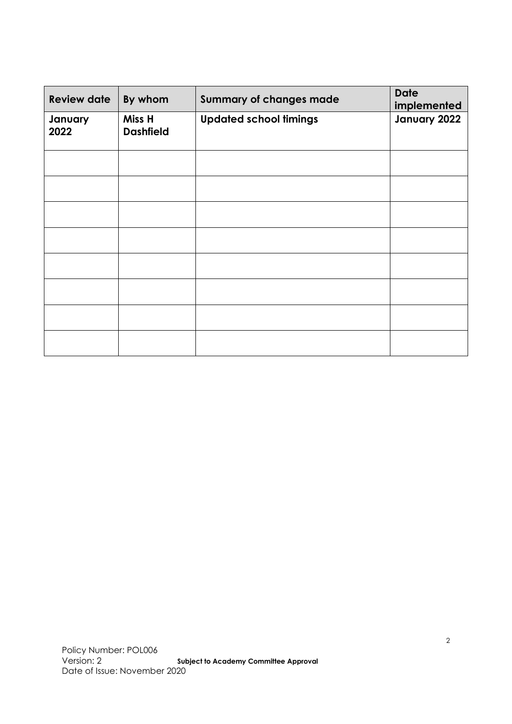| <b>Review date</b> | By whom                    | <b>Summary of changes made</b> | <b>Date</b><br>implemented |
|--------------------|----------------------------|--------------------------------|----------------------------|
| January<br>2022    | Miss H<br><b>Dashfield</b> | <b>Updated school timings</b>  | January 2022               |
|                    |                            |                                |                            |
|                    |                            |                                |                            |
|                    |                            |                                |                            |
|                    |                            |                                |                            |
|                    |                            |                                |                            |
|                    |                            |                                |                            |
|                    |                            |                                |                            |
|                    |                            |                                |                            |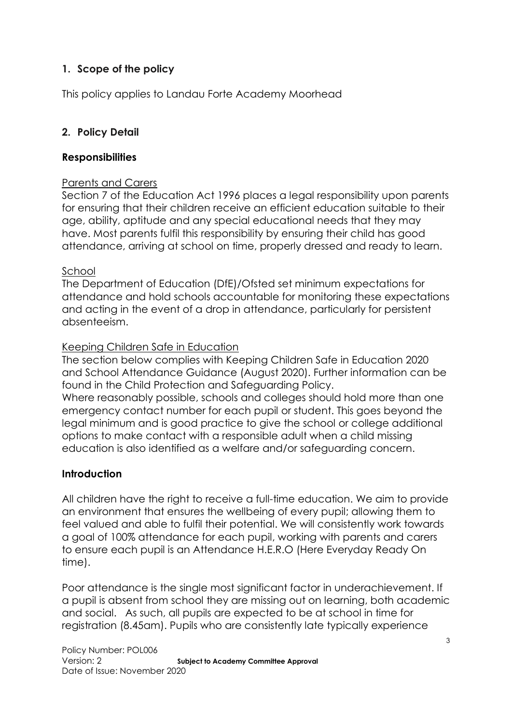# **1. Scope of the policy**

This policy applies to Landau Forte Academy Moorhead

### **2. Policy Detail**

### **Responsibilities**

### Parents and Carers

Section 7 of the Education Act 1996 places a legal responsibility upon parents for ensuring that their children receive an efficient education suitable to their age, ability, aptitude and any special educational needs that they may have. Most parents fulfil this responsibility by ensuring their child has good attendance, arriving at school on time, properly dressed and ready to learn.

#### School

The Department of Education (DfE)/Ofsted set minimum expectations for attendance and hold schools accountable for monitoring these expectations and acting in the event of a drop in attendance, particularly for persistent absenteeism.

### Keeping Children Safe in Education

The section below complies with Keeping Children Safe in Education 2020 and School Attendance Guidance (August 2020). Further information can be found in the Child Protection and Safeguarding Policy.

Where reasonably possible, schools and colleges should hold more than one emergency contact number for each pupil or student. This goes beyond the legal minimum and is good practice to give the school or college additional options to make contact with a responsible adult when a child missing education is also identified as a welfare and/or safeguarding concern.

### **Introduction**

All children have the right to receive a full-time education. We aim to provide an environment that ensures the wellbeing of every pupil; allowing them to feel valued and able to fulfil their potential. We will consistently work towards a goal of 100% attendance for each pupil, working with parents and carers to ensure each pupil is an Attendance H.E.R.O (Here Everyday Ready On time).

Poor attendance is the single most significant factor in underachievement. If a pupil is absent from school they are missing out on learning, both academic and social. As such, all pupils are expected to be at school in time for registration (8.45am). Pupils who are consistently late typically experience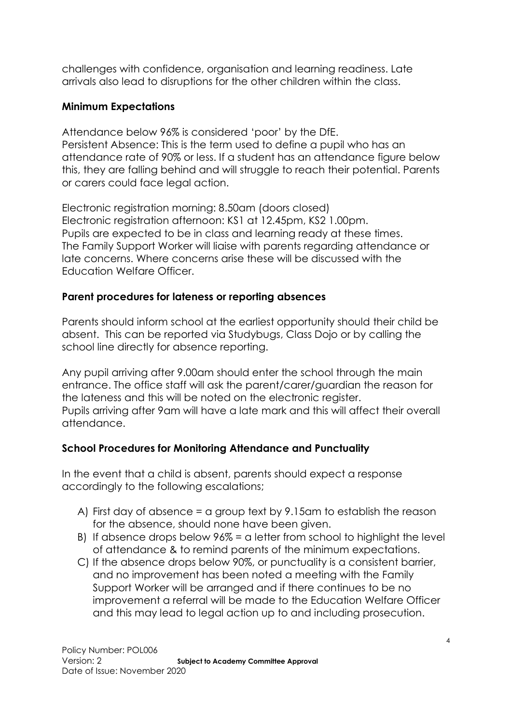challenges with confidence, organisation and learning readiness. Late arrivals also lead to disruptions for the other children within the class.

### **Minimum Expectations**

Attendance below 96% is considered 'poor' by the DfE. Persistent Absence: This is the term used to define a pupil who has an attendance rate of 90% or less. If a student has an attendance figure below this, they are falling behind and will struggle to reach their potential. Parents or carers could face legal action.

Electronic registration morning: 8.50am (doors closed) Electronic registration afternoon: KS1 at 12.45pm, KS2 1.00pm. Pupils are expected to be in class and learning ready at these times. The Family Support Worker will liaise with parents regarding attendance or late concerns. Where concerns arise these will be discussed with the Education Welfare Officer.

## **Parent procedures for lateness or reporting absences**

Parents should inform school at the earliest opportunity should their child be absent. This can be reported via Studybugs, Class Dojo or by calling the school line directly for absence reporting.

Any pupil arriving after 9.00am should enter the school through the main entrance. The office staff will ask the parent/carer/guardian the reason for the lateness and this will be noted on the electronic register. Pupils arriving after 9am will have a late mark and this will affect their overall attendance.

## **School Procedures for Monitoring Attendance and Punctuality**

In the event that a child is absent, parents should expect a response accordingly to the following escalations;

- A) First day of absence = a group text by 9.15am to establish the reason for the absence, should none have been given.
- B) If absence drops below 96% = a letter from school to highlight the level of attendance & to remind parents of the minimum expectations.
- C) If the absence drops below 90%, or punctuality is a consistent barrier, and no improvement has been noted a meeting with the Family Support Worker will be arranged and if there continues to be no improvement a referral will be made to the Education Welfare Officer and this may lead to legal action up to and including prosecution.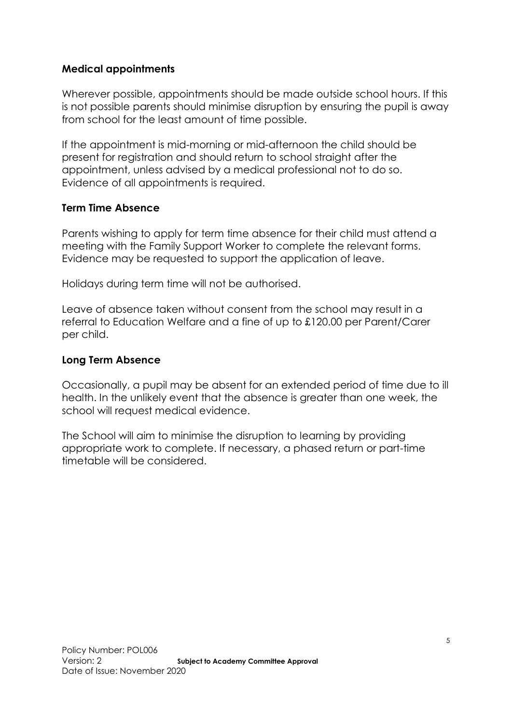### **Medical appointments**

Wherever possible, appointments should be made outside school hours. If this is not possible parents should minimise disruption by ensuring the pupil is away from school for the least amount of time possible.

If the appointment is mid-morning or mid-afternoon the child should be present for registration and should return to school straight after the appointment, unless advised by a medical professional not to do so. Evidence of all appointments is required.

### **Term Time Absence**

Parents wishing to apply for term time absence for their child must attend a meeting with the Family Support Worker to complete the relevant forms. Evidence may be requested to support the application of leave.

Holidays during term time will not be authorised.

Leave of absence taken without consent from the school may result in a referral to Education Welfare and a fine of up to £120.00 per Parent/Carer per child.

#### **Long Term Absence**

Occasionally, a pupil may be absent for an extended period of time due to ill health. In the unlikely event that the absence is greater than one week, the school will request medical evidence.

The School will aim to minimise the disruption to learning by providing appropriate work to complete. If necessary, a phased return or part-time timetable will be considered.